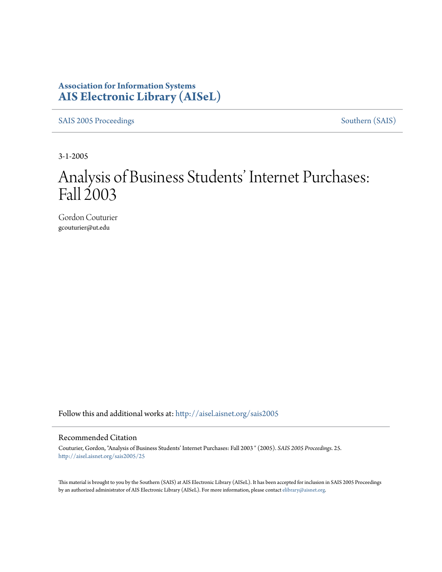## **Association for Information Systems [AIS Electronic Library \(AISeL\)](http://aisel.aisnet.org?utm_source=aisel.aisnet.org%2Fsais2005%2F25&utm_medium=PDF&utm_campaign=PDFCoverPages)**

[SAIS 2005 Proceedings](http://aisel.aisnet.org/sais2005?utm_source=aisel.aisnet.org%2Fsais2005%2F25&utm_medium=PDF&utm_campaign=PDFCoverPages) [Southern \(SAIS\)](http://aisel.aisnet.org/sais?utm_source=aisel.aisnet.org%2Fsais2005%2F25&utm_medium=PDF&utm_campaign=PDFCoverPages)

3-1-2005

# Analysis of Business Students' Internet Purchases: Fall 2003

Gordon Couturier gcouturier@ut.edu

Follow this and additional works at: [http://aisel.aisnet.org/sais2005](http://aisel.aisnet.org/sais2005?utm_source=aisel.aisnet.org%2Fsais2005%2F25&utm_medium=PDF&utm_campaign=PDFCoverPages)

#### Recommended Citation

Couturier, Gordon, "Analysis of Business Students' Internet Purchases: Fall 2003 " (2005). *SAIS 2005 Proceedings*. 25. [http://aisel.aisnet.org/sais2005/25](http://aisel.aisnet.org/sais2005/25?utm_source=aisel.aisnet.org%2Fsais2005%2F25&utm_medium=PDF&utm_campaign=PDFCoverPages)

This material is brought to you by the Southern (SAIS) at AIS Electronic Library (AISeL). It has been accepted for inclusion in SAIS 2005 Proceedings by an authorized administrator of AIS Electronic Library (AISeL). For more information, please contact [elibrary@aisnet.org](mailto:elibrary@aisnet.org%3E).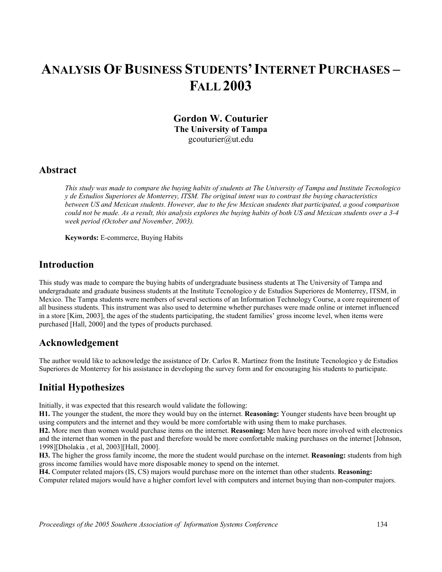## **ANALYSIS OF BUSINESS STUDENTS'INTERNET PURCHASES – FALL 2003**

**Gordon W. Couturier The University of Tampa**  gcouturier@ut.edu

#### **Abstract**

*This study was made to compare the buying habits of students at The University of Tampa and Institute Tecnologico y de Estudios Superiores de Monterrey, ITSM. The original intent was to contrast the buying characteristics between US and Mexican students. However, due to the few Mexican students that participated, a good comparison could not be made. As a result, this analysis explores the buying habits of both US and Mexican students over a 3-4 week period (October and November, 2003).* 

**Keywords:** E-commerce, Buying Habits

#### **Introduction**

This study was made to compare the buying habits of undergraduate business students at The University of Tampa and undergraduate and graduate business students at the Institute Tecnologico y de Estudios Superiores de Monterrey, ITSM, in Mexico. The Tampa students were members of several sections of an Information Technology Course, a core requirement of all business students. This instrument was also used to determine whether purchases were made online or internet influenced in a store [Kim, 2003], the ages of the students participating, the student families' gross income level, when items were purchased [Hall, 2000] and the types of products purchased.

#### **Acknowledgement**

The author would like to acknowledge the assistance of Dr. Carlos R. Martínez from the Institute Tecnologico y de Estudios Superiores de Monterrey for his assistance in developing the survey form and for encouraging his students to participate.

#### **Initial Hypothesizes**

Initially, it was expected that this research would validate the following:

**H1.** The younger the student, the more they would buy on the internet. **Reasoning:** Younger students have been brought up using computers and the internet and they would be more comfortable with using them to make purchases.

**H2.** More men than women would purchase items on the internet. **Reasoning:** Men have been more involved with electronics and the internet than women in the past and therefore would be more comfortable making purchases on the internet [Johnson, 1998][Dholakia , et al, 2003][Hall, 2000].

**H3.** The higher the gross family income, the more the student would purchase on the internet. **Reasoning:** students from high gross income families would have more disposable money to spend on the internet.

**H4.** Computer related majors (IS, CS) majors would purchase more on the internet than other students. **Reasoning:** Computer related majors would have a higher comfort level with computers and internet buying than non-computer majors.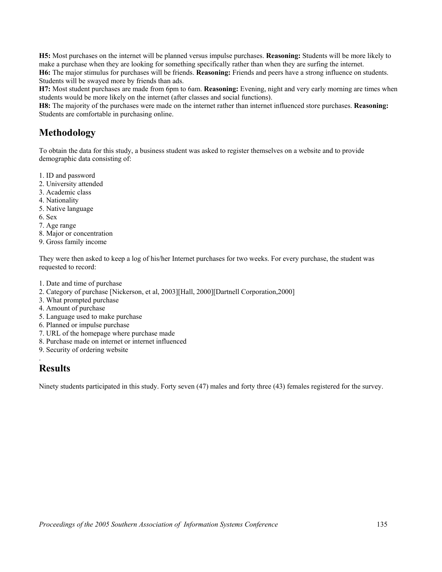**H5:** Most purchases on the internet will be planned versus impulse purchases. **Reasoning:** Students will be more likely to make a purchase when they are looking for something specifically rather than when they are surfing the internet. **H6:** The major stimulus for purchases will be friends. **Reasoning:** Friends and peers have a strong influence on students. Students will be swayed more by friends than ads.

**H7:** Most student purchases are made from 6pm to 6am. **Reasoning:** Evening, night and very early morning are times when students would be more likely on the internet (after classes and social functions).

**H8:** The majority of the purchases were made on the internet rather than internet influenced store purchases. **Reasoning:**  Students are comfortable in purchasing online.

#### **Methodology**

To obtain the data for this study, a business student was asked to register themselves on a website and to provide demographic data consisting of:

- 1. ID and password
- 2. University attended
- 3. Academic class
- 4. Nationality
- 5. Native language
- 6. Sex
- 7. Age range
- 8. Major or concentration
- 9. Gross family income

They were then asked to keep a log of his/her Internet purchases for two weeks. For every purchase, the student was requested to record:

- 1. Date and time of purchase
- 2. Category of purchase [Nickerson, et al, 2003][Hall, 2000][Dartnell Corporation,2000]
- 3. What prompted purchase
- 4. Amount of purchase
- 5. Language used to make purchase
- 6. Planned or impulse purchase
- 7. URL of the homepage where purchase made
- 8. Purchase made on internet or internet influenced
- 9. Security of ordering website

## **Results**

.

Ninety students participated in this study. Forty seven (47) males and forty three (43) females registered for the survey.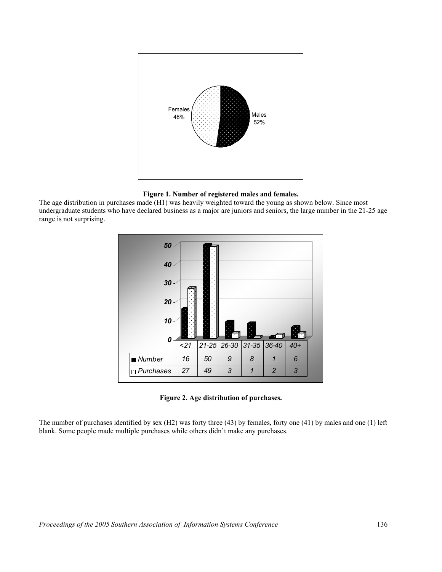

**Figure 1. Number of registered males and females.** 

The age distribution in purchases made (H1) was heavily weighted toward the young as shown below. Since most undergraduate students who have declared business as a major are juniors and seniors, the large number in the 21-25 age range is not surprising.



**Figure 2. Age distribution of purchases.** 

The number of purchases identified by sex (H2) was forty three (43) by females, forty one (41) by males and one (1) left blank. Some people made multiple purchases while others didn't make any purchases.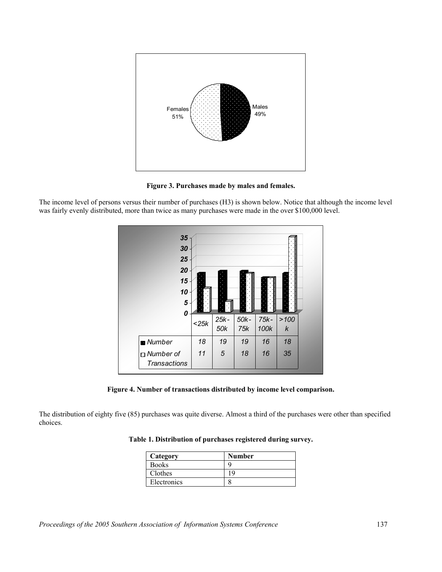

**Figure 3. Purchases made by males and females.** 

The income level of persons versus their number of purchases (H3) is shown below. Notice that although the income level was fairly evenly distributed, more than twice as many purchases were made in the over \$100,000 level.



**Figure 4. Number of transactions distributed by income level comparison.** 

The distribution of eighty five (85) purchases was quite diverse. Almost a third of the purchases were other than specified choices.

| Category     | <b>Number</b> |  |
|--------------|---------------|--|
| <b>Books</b> |               |  |
| Clothes      |               |  |
| Electronics  |               |  |

**Table 1. Distribution of purchases registered during survey.**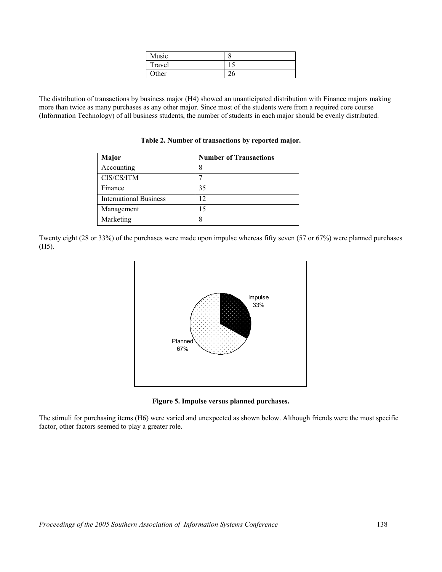| Music        | O |
|--------------|---|
| Travel       |   |
| <b>Other</b> |   |

The distribution of transactions by business major (H4) showed an unanticipated distribution with Finance majors making more than twice as many purchases as any other major. Since most of the students were from a required core course (Information Technology) of all business students, the number of students in each major should be evenly distributed.

**Table 2. Number of transactions by reported major.**

| <b>Major</b>                  | <b>Number of Transactions</b> |
|-------------------------------|-------------------------------|
| Accounting                    | 8                             |
| CIS/CS/ITM                    |                               |
| Finance                       | 35                            |
| <b>International Business</b> | 12                            |
| Management                    | 15                            |
| Marketing                     | 8                             |

Twenty eight (28 or 33%) of the purchases were made upon impulse whereas fifty seven (57 or 67%) were planned purchases (H5).



**Figure 5. Impulse versus planned purchases.** 

The stimuli for purchasing items (H6) were varied and unexpected as shown below. Although friends were the most specific factor, other factors seemed to play a greater role.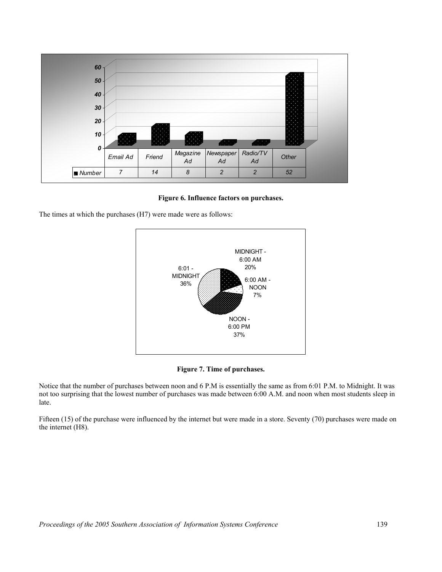

**Figure 6. Influence factors on purchases.** 

The times at which the purchases (H7) were made were as follows:





Notice that the number of purchases between noon and 6 P.M is essentially the same as from 6:01 P.M. to Midnight. It was not too surprising that the lowest number of purchases was made between 6:00 A.M. and noon when most students sleep in late.

Fifteen (15) of the purchase were influenced by the internet but were made in a store. Seventy (70) purchases were made on the internet (H8).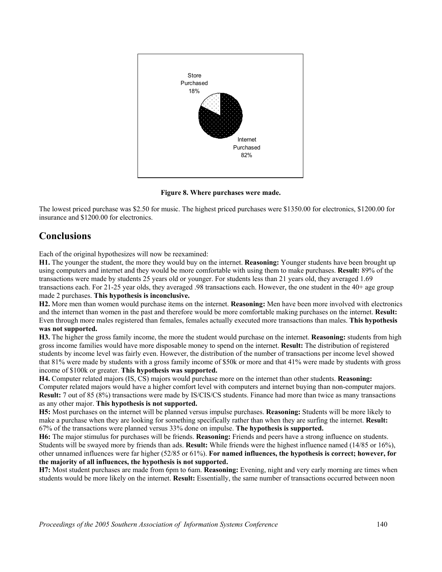

**Figure 8. Where purchases were made.** 

The lowest priced purchase was \$2.50 for music. The highest priced purchases were \$1350.00 for electronics, \$1200.00 for insurance and \$1200.00 for electronics.

#### **Conclusions**

Each of the original hypothesizes will now be reexamined:

**H1.** The younger the student, the more they would buy on the internet. **Reasoning:** Younger students have been brought up using computers and internet and they would be more comfortable with using them to make purchases. **Result:** 89% of the transactions were made by students 25 years old or younger. For students less than 21 years old, they averaged 1.69 transactions each. For 21-25 year olds, they averaged .98 transactions each. However, the one student in the 40+ age group made 2 purchases. **This hypothesis is inconclusive.** 

**H2.** More men than women would purchase items on the internet. **Reasoning:** Men have been more involved with electronics and the internet than women in the past and therefore would be more comfortable making purchases on the internet. **Result:**  Even through more males registered than females, females actually executed more transactions than males. **This hypothesis** 

#### **was not supported.**

**H3.** The higher the gross family income, the more the student would purchase on the internet. **Reasoning:** students from high gross income families would have more disposable money to spend on the internet. **Result:** The distribution of registered students by income level was fairly even. However, the distribution of the number of transactions per income level showed that 81% were made by students with a gross family income of \$50k or more and that 41% were made by students with gross income of \$100k or greater. **This hypothesis was supported.** 

**H4.** Computer related majors (IS, CS) majors would purchase more on the internet than other students. **Reasoning:** Computer related majors would have a higher comfort level with computers and internet buying than non-computer majors. **Result:** 7 out of 85 (8%) transactions were made by IS/CIS/CS students. Finance had more than twice as many transactions as any other major. **This hypothesis is not supported.**

**H5:** Most purchases on the internet will be planned versus impulse purchases. **Reasoning:** Students will be more likely to make a purchase when they are looking for something specifically rather than when they are surfing the internet. **Result:** 67% of the transactions were planned versus 33% done on impulse. **The hypothesis is supported.**

**H6:** The major stimulus for purchases will be friends. **Reasoning:** Friends and peers have a strong influence on students. Students will be swayed more by friends than ads. **Result:** While friends were the highest influence named (14/85 or 16%), other unnamed influences were far higher (52/85 or 61%). **For named influences, the hypothesis is correct; however, for the majority of all influences, the hypothesis is not supported.** 

**H7:** Most student purchases are made from 6pm to 6am. **Reasoning:** Evening, night and very early morning are times when students would be more likely on the internet. **Result:** Essentially, the same number of transactions occurred between noon